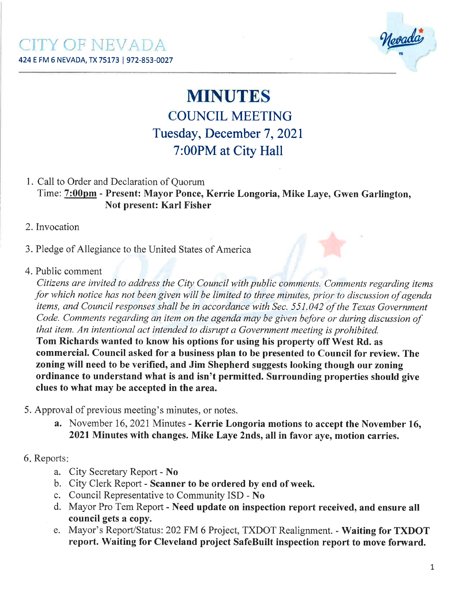

# MINUTES **COUNCIL MEETING** Tuesday, December 7, 2021 7:00PM at City Hall

#### l. Call to Order and Declaration of Quorum Time: 7:00pm - Present: Mayor Ponce, Kerrie Longoria, Mike Laye, Gwen Garlington, Not present: Karl Fisher

#### 2. Invocation

3. Pledge of Allegiance to the United States of America

4. Public comment

Citizens are invited to address the City Councíl wíth public comments. Comments regarding items þr which notice has not been gìven wíll be limited to three minutes, prior to discussíon of agenda items, and Council responses shall be in accordance with Sec. 551.042 of the Texas Government Code. Comments regarding an item on the agenda may be given before or during discussion of that item. An intentional act intended to disrupt a Government meeting is prohibited.

Tom Richards wanted to know his options for using his properfy off West Rd. as commercial. Council asked for a business plan to be presented to Council for review. The zoning will need to be verified, and Jim Shepherd suggests looking though our zoning ordinance to understand what is and isn't permitted. Surrounding properties should give clues to what may be accepted in the area.

- 5. Approval of previous meeting's minutes, or notes.
	- a. November 16, 2021 Minutes Kerrie Longoria motions to accept the November 16, 2021Minutes with changes. Mike Laye 2nds, all in favor aye, motion carries.

#### 6. Reports:

- a. Cify Secretary Report No
- b. City Clerk Report Scanner to be ordered by end of week.
- c. Council Representative to Community ISD No
- d. Mayor Pro Tem Report Need update on inspection report received, and ensure all council gets a copy.
- e. Mayor's Report/Status:202 FM 6 Project, TXDOT Realignment. Waiting for TXDOT report. Waiting for Cleveland project SafeBuilt inspection report to move forward.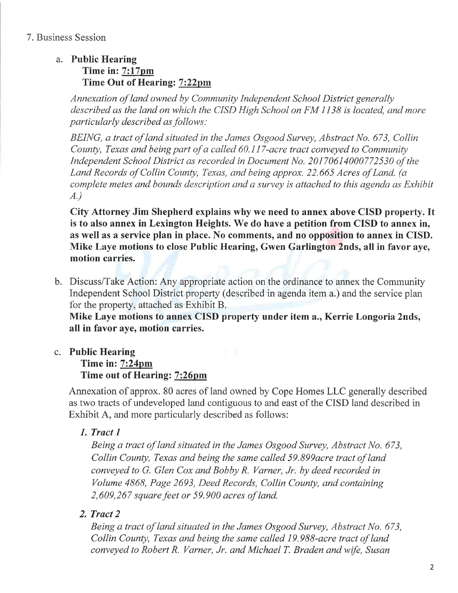# a. Public Hearing

#### Time in:  $7:17$ pm Time Out of Hearing: 7:22pm

Annexatíon of land owned by Community Independent School District generally described as the land on which the CISD High School on FM 1138 is located, and more particularly described as follows:

BEING, a tract of land situated in the James Osgood Survey, Abstract No. 673, Collin County, Texas and being part of a called  $60.117$ -acre tract conveyed to Community Independent School District as recorded in Document No. 20170614000772530 of the Land Records of Collin County, Texas, and being approx. 22,665 Acres of Land. (a complete metes and bounds description and a survey is attached to this agenda as Exhibit A.)

City Attorney Jim Shepherd explains why we need to annex above CISD property. It is to also annex in Lexington Heights. We do have a petition from CISD to annex in, as well as a service plan in place. No comments, and no opposition to annex in CISD. Mike Laye motions to close Public Hearing, Gwen Garlington 2nds, all in favor aye, motion carries.

b. Discuss/Take Action: Any appropriate action on the ordinance to annex the Community Independent School District properfy (described in agenda item a.) and the service plan for the property, attached as Exhibit B.

Mike Laye motions to annex CISD property under item a., Kerrie Longoria 2nds, all in favor aye, motion carries.

# c. Public Hearing

#### Time in: 7:24pm Time out of Hearing: 7:26pm

Annexation of approx. 80 acres of land owned by Cope Homes LLC generally described as two tracts of undeveloped land contiguous to and east of the CISD land described in Exhibit A, and more particularly described as follows:

# 1. Tract I

Being a tract of land situated in the James Osgood Survey, Abstract No. 673, Collin County, Texas and being the same called 59.B99acre tract of land conveyed to G. Glen Cox and Bobby R. Varner, Jr. by deed recorded in Volume 4868, Page 2693, Deed Records, Collin County, and containìng  $2,609,267$  square feet or 59.900 acres of land.

# 2. Tract 2

Being a tract of land situated in the James Osgood Survey, Abstract No. 673, Collin County, Texas and being the same called I9.9B9-acre tract of land conveyed to Robert R. Varner, Jr. and Michael T. Braden and wife, Susan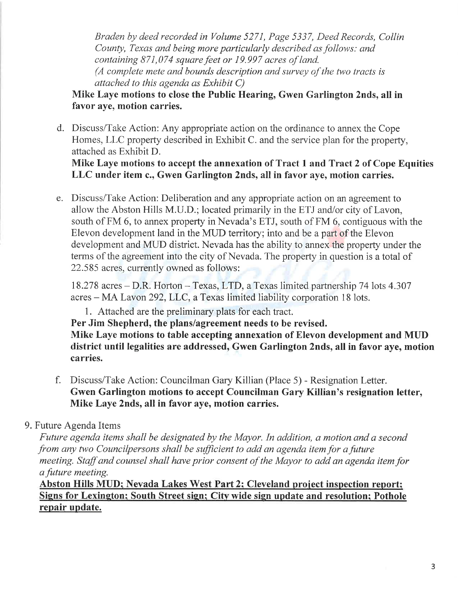Braden by deed recorded in Volume 527l, Page 5337, Deed Records, Collin County, Texas and being more particularly described as follows: and containing  $871,074$  square feet or 19.997 acres of land. (A complete mete and bounds descriptíon and survey of the two tracts is attached to this agenda as Exhibit C)

# Mike Laye motions to close the Public Hearing, Gwen Garlington 2nds, all in favor aye, motion carries.

d. Discuss/Take Action: Any appropriate action on the ordinance to annex the Cope Homes, LLC property described in Exhibit C. and the service plan for the property, attached as Exhibit D.

Mike Laye motions to accept the annexation of Tract I and Tract 2 of Cope Equities LLC under item c., Gwen Garlington 2nds, all in favor aye, motion carries.

e. Discuss/Take Action: Deliberation and any appropriate action on an agreement to allow the Abston Hills M.U.D.; located primarily in the ETJ and/or city of Lavon, south of FM 6, to annex property in Nevada's ETJ, south of FM 6, contiguous with the Elevon development land in the MIJD territory; into and be a part of the Elevon development and MUD district. Nevada has the ability to annex the property under the terms of the agreement into the city of Nevada. The property in question is a total of 22.585 acres, currently owned as follows:

I8.278 acres - D.R. Horton - Texas, LTD, a Texas limited partnership 74 lots 4.307 acres - MA Lavon 292,LLC, a Texas limited liability corporation 18 lots.

1. Attached are the preliminary plats for each tract.

Per Jim Shepherd, the plans/agreement needs to be revised.

Mike Laye motions to table accepting annexation of Elevon development and MUD district until legalities are addressed, Gwen Garlington 2nds, all in favor aye, motion carries.

f. Discuss/Take Action: Councilman Gary Killian (Place 5) - Resignation Letter. Gwen Garlington motions to accept Councilman Gary Killian's resignation letter, Mike Laye 2nds, all in favor aye, motion carries.

# 9. Future Agenda Items

Future agenda items shall be designated by the Mayor. In addition, a motion and a second from any two Councilpersons shall be sufficient to add an agenda item for a future meeting. Staff and counsel shall have prior consent of the Mayor to add an agenda item for a future meeting.

Abston Hills MUD; Nevada Lakes West Part 2; Cleveland project inspection report; repair update. Signs for Lexington; South Street sign; City wide sign update and resolution; Pothole